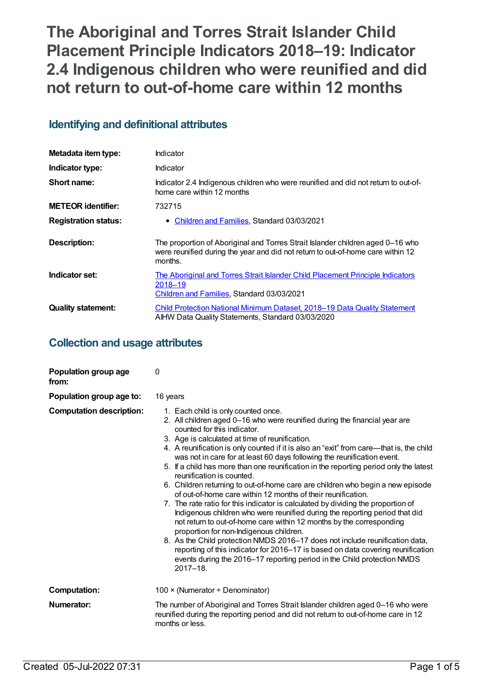# **The Aboriginal and Torres Strait Islander Child Placement Principle Indicators 2018–19: Indicator 2.4 Indigenous children who were reunified and did not return to out-of-home care within 12 months**

## **Identifying and definitional attributes**

| Metadata item type:         | Indicator                                                                                                                                                                    |
|-----------------------------|------------------------------------------------------------------------------------------------------------------------------------------------------------------------------|
| Indicator type:             | Indicator                                                                                                                                                                    |
| Short name:                 | Indicator 2.4 Indigenous children who were reunified and did not return to out-of-<br>home care within 12 months                                                             |
| <b>METEOR identifier:</b>   | 732715                                                                                                                                                                       |
| <b>Registration status:</b> | • Children and Families, Standard 03/03/2021                                                                                                                                 |
| <b>Description:</b>         | The proportion of Aboriginal and Torres Strait Islander children aged 0-16 who<br>were reunified during the year and did not return to out-of-home care within 12<br>months. |
| Indicator set:              | The Aboriginal and Torres Strait Islander Child Placement Principle Indicators<br>2018–19<br>Children and Families, Standard 03/03/2021                                      |
| <b>Quality statement:</b>   | Child Protection National Minimum Dataset. 2018–19 Data Quality Statement<br>AIHW Data Quality Statements, Standard 03/03/2020                                               |

## **Collection and usage attributes**

| Population group age<br>from:   | 0                                                                                                                                                                                                                                                                                                                                                                                                                                                                                                                                                                                                                                                                                                                                                                                                                                                                                                                                                                                                                                                                                                                                                                                                     |
|---------------------------------|-------------------------------------------------------------------------------------------------------------------------------------------------------------------------------------------------------------------------------------------------------------------------------------------------------------------------------------------------------------------------------------------------------------------------------------------------------------------------------------------------------------------------------------------------------------------------------------------------------------------------------------------------------------------------------------------------------------------------------------------------------------------------------------------------------------------------------------------------------------------------------------------------------------------------------------------------------------------------------------------------------------------------------------------------------------------------------------------------------------------------------------------------------------------------------------------------------|
| Population group age to:        | 16 years                                                                                                                                                                                                                                                                                                                                                                                                                                                                                                                                                                                                                                                                                                                                                                                                                                                                                                                                                                                                                                                                                                                                                                                              |
| <b>Computation description:</b> | 1. Each child is only counted once.<br>2. All children aged 0-16 who were reunified during the financial year are<br>counted for this indicator.<br>3. Age is calculated at time of reunification.<br>4. A reunification is only counted if it is also an "exit" from care-that is, the child<br>was not in care for at least 60 days following the reunification event.<br>5. If a child has more than one reunification in the reporting period only the latest<br>reunification is counted.<br>6. Children returning to out-of-home care are children who begin a new episode<br>of out-of-home care within 12 months of their reunification.<br>7. The rate ratio for this indicator is calculated by dividing the proportion of<br>Indigenous children who were reunified during the reporting period that did<br>not return to out-of-home care within 12 months by the corresponding<br>proportion for non-Indigenous children.<br>8. As the Child protection NMDS 2016-17 does not include reunification data,<br>reporting of this indicator for 2016-17 is based on data covering reunification<br>events during the 2016-17 reporting period in the Child protection NMDS<br>$2017 - 18$ . |
| <b>Computation:</b>             | 100 × (Numerator ÷ Denominator)                                                                                                                                                                                                                                                                                                                                                                                                                                                                                                                                                                                                                                                                                                                                                                                                                                                                                                                                                                                                                                                                                                                                                                       |
| Numerator:                      | The number of Aboriginal and Torres Strait Islander children aged 0-16 who were<br>reunified during the reporting period and did not return to out-of-home care in 12<br>months or less.                                                                                                                                                                                                                                                                                                                                                                                                                                                                                                                                                                                                                                                                                                                                                                                                                                                                                                                                                                                                              |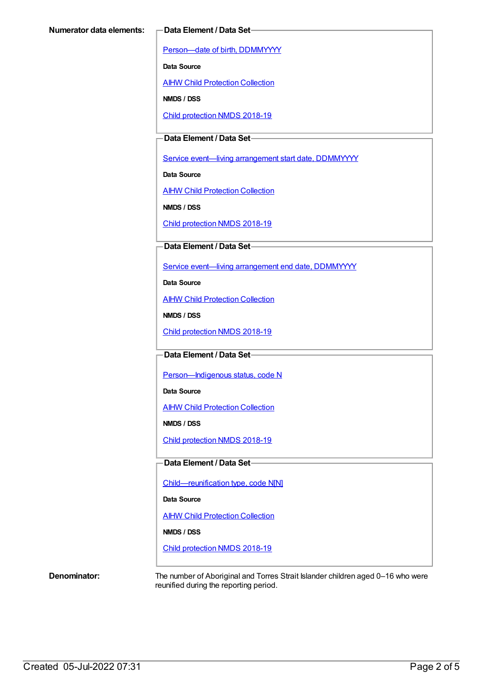[Person—date](https://meteor.aihw.gov.au/content/287007) of birth, DDMMYYYY

**Data Source**

**AIHW Child [Protection](https://meteor.aihw.gov.au/content/489543) Collection** 

**NMDS / DSS**

Child [protection](https://meteor.aihw.gov.au/content/726951) NMDS 2018-19

### **Data Element / Data Set**

Service event-living [arrangement](https://meteor.aihw.gov.au/content/474217) start date, DDMMYYYY

**Data Source**

**AIHW Child [Protection](https://meteor.aihw.gov.au/content/489543) Collection** 

**NMDS / DSS**

Child [protection](https://meteor.aihw.gov.au/content/726951) NMDS 2018-19

#### **Data Element / Data Set**

Service event—living [arrangement](https://meteor.aihw.gov.au/content/474223) end date, DDMMYYYY

**Data Source**

AIHW Child [Protection](https://meteor.aihw.gov.au/content/489543) Collection

**NMDS / DSS**

Child [protection](https://meteor.aihw.gov.au/content/726951) NMDS 2018-19

#### **Data Element / Data Set**

Person-Indigenous status, code N

**Data Source**

AIHW Child [Protection](https://meteor.aihw.gov.au/content/489543) Collection

**NMDS / DSS**

Child [protection](https://meteor.aihw.gov.au/content/726951) NMDS 2018-19

#### **Data Element / Data Set**

[Child—reunification](https://meteor.aihw.gov.au/content/737464) type, code N[N]

**Data Source**

AIHW Child [Protection](https://meteor.aihw.gov.au/content/489543) Collection

#### **NMDS / DSS**

Child [protection](https://meteor.aihw.gov.au/content/726951) NMDS 2018-19

**Denominator:** The number of Aboriginal and Torres Strait Islander children aged 0–16 who were reunified during the reporting period.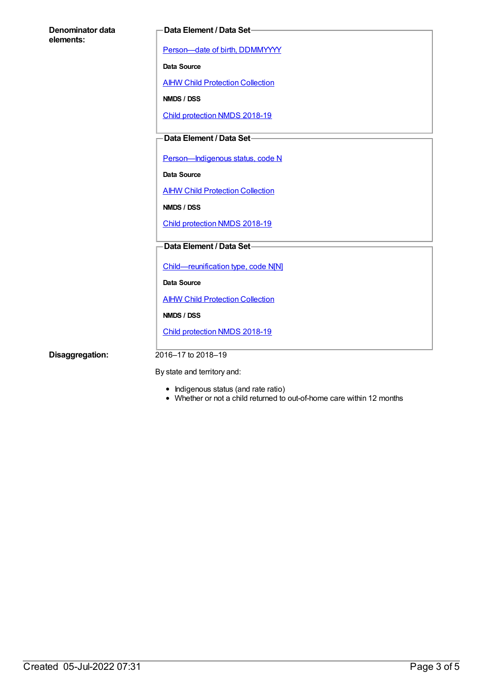| Denominator data |  |
|------------------|--|
| elements:        |  |

#### **Data Element / Data Set**

[Person—date](https://meteor.aihw.gov.au/content/287007) of birth, DDMMYYYY

**Data Source**

**AIHW Child [Protection](https://meteor.aihw.gov.au/content/489543) Collection** 

**NMDS / DSS**

Child [protection](https://meteor.aihw.gov.au/content/726951) NMDS 2018-19

## **Data Element / Data Set**

Person-Indigenous status, code N

**Data Source**

**AIHW Child [Protection](https://meteor.aihw.gov.au/content/489543) Collection** 

**NMDS / DSS**

Child [protection](https://meteor.aihw.gov.au/content/726951) NMDS 2018-19

#### **Data Element / Data Set**

[Child—reunification](https://meteor.aihw.gov.au/content/737464) type, code N[N]

**Data Source**

**AIHW Child [Protection](https://meteor.aihw.gov.au/content/489543) Collection** 

**NMDS / DSS**

Child [protection](https://meteor.aihw.gov.au/content/726951) NMDS 2018-19

**Disaggregation:** 2016–17 to 2018–19

By state and territory and:

- Indigenous status (and rate ratio)
- Whether or not a child returned to out-of-home care within 12 months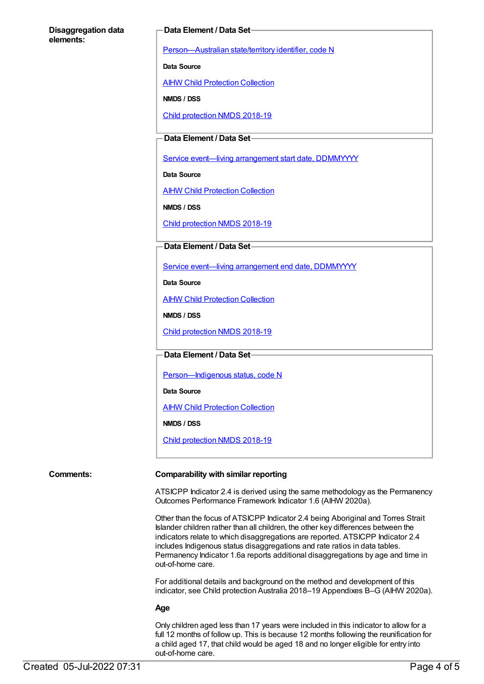#### **Disaggregation data elements:**

#### **Data Element / Data Set**

[Person—Australian](https://meteor.aihw.gov.au/content/286919) state/territory identifier, code N

**Data Source**

AIHW Child [Protection](https://meteor.aihw.gov.au/content/489543) Collection

**NMDS / DSS**

Child [protection](https://meteor.aihw.gov.au/content/726951) NMDS 2018-19

### **Data Element / Data Set**

Service event-living [arrangement](https://meteor.aihw.gov.au/content/474217) start date, DDMMYYYY

**Data Source**

AIHW Child [Protection](https://meteor.aihw.gov.au/content/489543) Collection

**NMDS / DSS**

Child [protection](https://meteor.aihw.gov.au/content/726951) NMDS 2018-19

#### **Data Element / Data Set**

Service event—living [arrangement](https://meteor.aihw.gov.au/content/474223) end date, DDMMYYYY

**Data Source**

AIHW Child [Protection](https://meteor.aihw.gov.au/content/489543) Collection

**NMDS / DSS**

Child [protection](https://meteor.aihw.gov.au/content/726951) NMDS 2018-19

**Data Element / Data Set**

Person-Indigenous status, code N

**Data Source**

AIHW Child [Protection](https://meteor.aihw.gov.au/content/489543) Collection

**NMDS / DSS**

Child [protection](https://meteor.aihw.gov.au/content/726951) NMDS 2018-19

#### **Comments: Comparability with similar reporting**

ATSICPP Indicator 2.4 is derived using the same methodology as the Permanency Outcomes Performance Framework Indicator 1.6 (AIHW 2020a).

Other than the focus of ATSICPP Indicator 2.4 being Aboriginal and Torres Strait Islander children rather than all children, the other key differences between the indicators relate to which disaggregations are reported. ATSICPP Indicator 2.4 includes Indigenous status disaggregations and rate ratios in data tables. Permanency Indicator 1.6a reports additional disaggregations by age and time in out-of-home care.

For additional details and background on the method and development of this indicator, see Child protection Australia 2018–19 Appendixes B–G (AIHW 2020a).

#### **Age**

Only children aged less than 17 years were included in this indicator to allow for a full 12 months of follow up. This is because 12 months following the reunification for a child aged 17, that child would be aged 18 and no longer eligible for entry into out-of-home care.